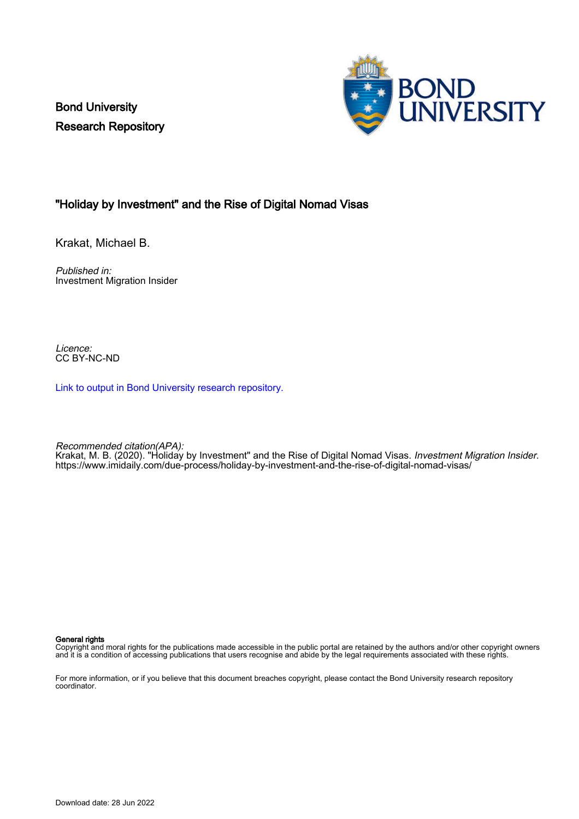Bond University Research Repository



## "Holiday by Investment" and the Rise of Digital Nomad Visas

Krakat, Michael B.

Published in: Investment Migration Insider

Licence: CC BY-NC-ND

[Link to output in Bond University research repository.](https://research.bond.edu.au/en/publications/4cf66d07-140f-4f78-81a6-dcc2a938c90a)

Recommended citation(APA):

Krakat, M. B. (2020). "Holiday by Investment" and the Rise of Digital Nomad Visas. *Investment Migration Insider*. <https://www.imidaily.com/due-process/holiday-by-investment-and-the-rise-of-digital-nomad-visas/>

#### General rights

Copyright and moral rights for the publications made accessible in the public portal are retained by the authors and/or other copyright owners and it is a condition of accessing publications that users recognise and abide by the legal requirements associated with these rights.

For more information, or if you believe that this document breaches copyright, please contact the Bond University research repository coordinator.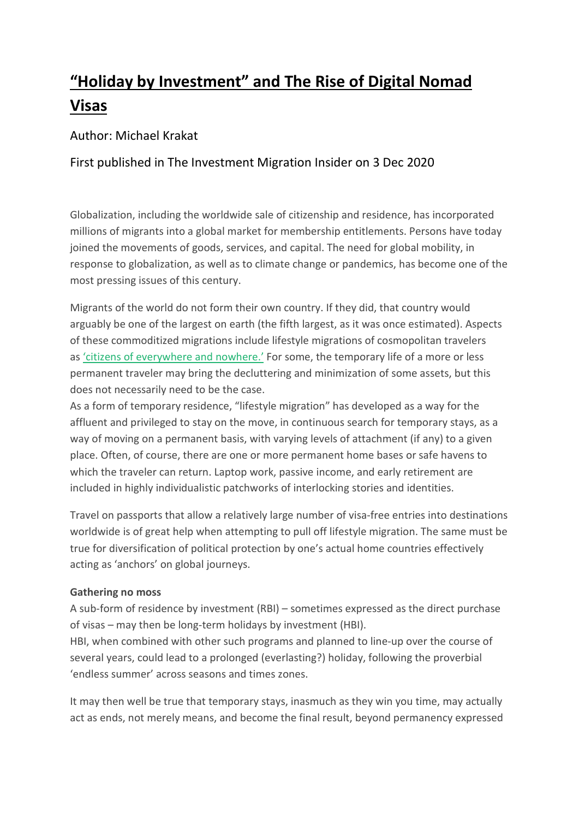# **"Holiday by Investment" and The Rise of Digital Nomad Visas**

# Author: Michael Krakat

# First published in The Investment Migration Insider on 3 Dec 2020

Globalization, including the worldwide sale of citizenship and residence, has incorporated millions of migrants into a global market for membership entitlements. Persons have today joined the movements of goods, services, and capital. The need for global mobility, in response to globalization, as well as to climate change or pandemics, has become one of the most pressing issues of this century.

Migrants of the world do not form their own country. If they did, that country would arguably be one of the largest on earth (the fifth largest, as it was once estimated). Aspects of these commoditized migrations include lifestyle migrations of cosmopolitan travelers as 'citizens of [everywhere](http://www.austlii.edu.au/au/journals/BondLRev/2018/9.pdf) and nowhere.' For some, the temporary life of a more or less permanent traveler may bring the decluttering and minimization of some assets, but this does not necessarily need to be the case.

As a form of temporary residence, "lifestyle migration" has developed as a way for the affluent and privileged to stay on the move, in continuous search for temporary stays, as a way of moving on a permanent basis, with varying levels of attachment (if any) to a given place. Often, of course, there are one or more permanent home bases or safe havens to which the traveler can return. Laptop work, passive income, and early retirement are included in highly individualistic patchworks of interlocking stories and identities.

Travel on passports that allow a relatively large number of visa-free entries into destinations worldwide is of great help when attempting to pull off lifestyle migration. The same must be true for diversification of political protection by one's actual home countries effectively acting as 'anchors' on global journeys.

### **Gathering no moss**

A sub-form of residence by investment (RBI) – sometimes expressed as the direct purchase of visas – may then be long-term holidays by investment (HBI).

HBI, when combined with other such programs and planned to line-up over the course of several years, could lead to a prolonged (everlasting?) holiday, following the proverbial 'endless summer' across seasons and times zones.

It may then well be true that temporary stays, inasmuch as they win you time, may actually act as ends, not merely means, and become the final result, beyond permanency expressed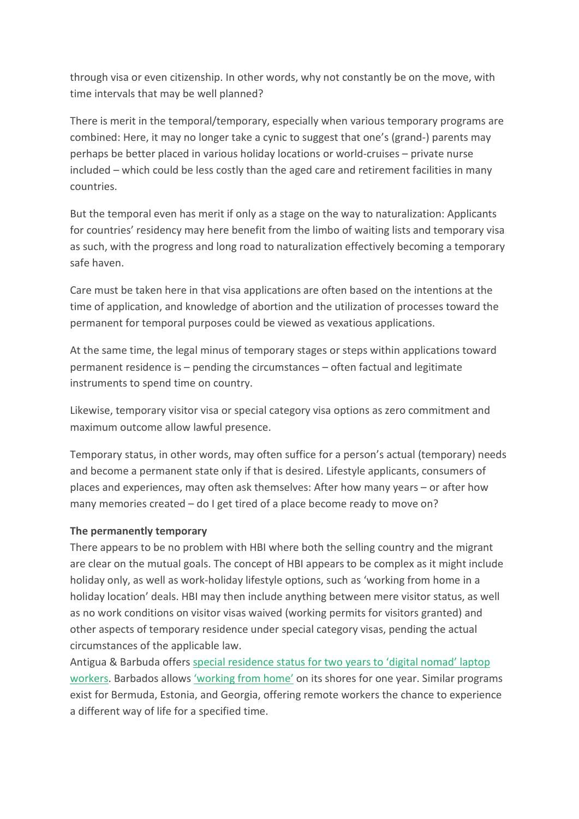through visa or even citizenship. In other words, why not constantly be on the move, with time intervals that may be well planned?

There is merit in the temporal/temporary, especially when various temporary programs are combined: Here, it may no longer take a cynic to suggest that one's (grand-) parents may perhaps be better placed in various holiday locations or world-cruises – private nurse included – which could be less costly than the aged care and retirement facilities in many countries.

But the temporal even has merit if only as a stage on the way to naturalization: Applicants for countries' residency may here benefit from the limbo of waiting lists and temporary visa as such, with the progress and long road to naturalization effectively becoming a temporary safe haven.

Care must be taken here in that visa applications are often based on the intentions at the time of application, and knowledge of abortion and the utilization of processes toward the permanent for temporal purposes could be viewed as vexatious applications.

At the same time, the legal minus of temporary stages or steps within applications toward permanent residence is – pending the circumstances – often factual and legitimate instruments to spend time on country.

Likewise, temporary visitor visa or special category visa options as zero commitment and maximum outcome allow lawful presence.

Temporary status, in other words, may often suffice for a person's actual (temporary) needs and become a permanent state only if that is desired. Lifestyle applicants, consumers of places and experiences, may often ask themselves: After how many years – or after how many memories created – do I get tired of a place become ready to move on?

#### **The permanently temporary**

There appears to be no problem with HBI where both the selling country and the migrant are clear on the mutual goals. The concept of HBI appears to be complex as it might include holiday only, as well as work-holiday lifestyle options, such as 'working from home in a holiday location' deals. HBI may then include anything between mere visitor status, as well as no work conditions on visitor visas waived (working permits for visitors granted) and other aspects of temporary residence under special category visas, pending the actual circumstances of the applicable law.

Antigua & Barbuda offers special [residence](https://www.lonelyplanet.com/articles/antigua-barbuda-digital-nomad-visa) status for two years to 'digital nomad' laptop [workers.](https://www.lonelyplanet.com/articles/antigua-barbuda-digital-nomad-visa) Barbados allows ['working](https://edition.cnn.com/travel/article/barbados-coronavirus-work-from-home-trnd/) from home' on its shores for one year. Similar programs exist for Bermuda, Estonia, and Georgia, offering remote workers the chance to experience a different way of life for a specified time.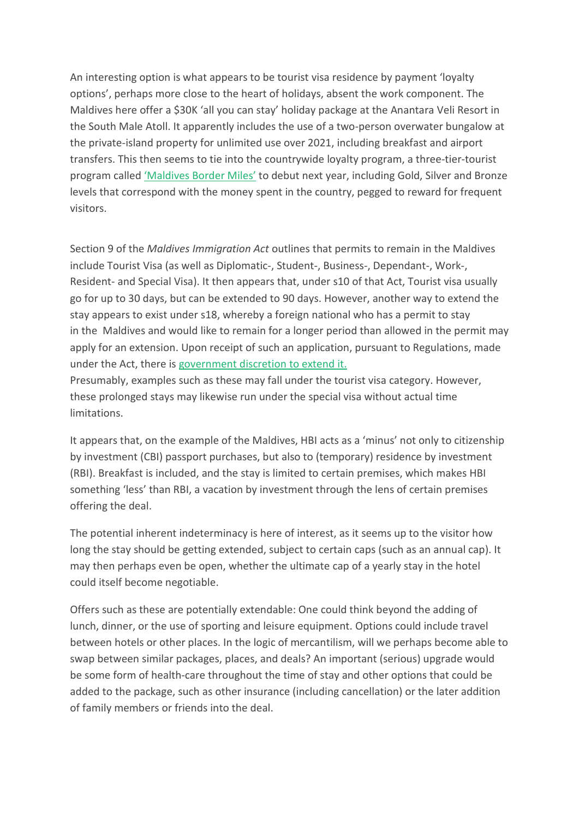An interesting option is what appears to be tourist visa residence by payment 'loyalty options', perhaps more close to the heart of holidays, absent the work component. The Maldives here offer a \$30K 'all you can stay' holiday package at the Anantara Veli Resort in the South Male Atoll. It apparently includes the use of a two-person overwater bungalow at the private-island property for unlimited use over 2021, including breakfast and airport transfers. This then seems to tie into the countrywide loyalty program, a three-tier-tourist program called ['Maldives](https://edition.cnn.com/travel/article/anantara-maldives-annual-pass-intl-hnk/index.html) Border Miles' to debut next year, including Gold, Silver and Bronze levels that correspond with the money spent in the country, pegged to reward for frequent visitors.

Section 9 of the *Maldives Immigration Act* outlines that permits to remain in the Maldives include Tourist Visa (as well as Diplomatic-, Student-, Business-, Dependant-, Work-, Resident- and Special Visa). It then appears that, under s10 of that Act, Tourist visa usually go for up to 30 days, but can be extended to 90 days. However, another way to extend the stay appears to exist under s18, whereby a foreign national who has a permit to stay in the Maldives and would like to remain for a longer period than allowed in the permit may apply for an extension. Upon receipt of such an application, pursuant to Regulations, made under the Act, there is [government](http://www.immigration.gov.mv/act-regulations/) discretion to extend it.

Presumably, examples such as these may fall under the tourist visa category. However, these prolonged stays may likewise run under the special visa without actual time limitations.

It appears that, on the example of the Maldives, HBI acts as a 'minus' not only to citizenship by investment (CBI) passport purchases, but also to (temporary) residence by investment (RBI). Breakfast is included, and the stay is limited to certain premises, which makes HBI something 'less' than RBI, a vacation by investment through the lens of certain premises offering the deal.

The potential inherent indeterminacy is here of interest, as it seems up to the visitor how long the stay should be getting extended, subject to certain caps (such as an annual cap). It may then perhaps even be open, whether the ultimate cap of a yearly stay in the hotel could itself become negotiable.

Offers such as these are potentially extendable: One could think beyond the adding of lunch, dinner, or the use of sporting and leisure equipment. Options could include travel between hotels or other places. In the logic of mercantilism, will we perhaps become able to swap between similar packages, places, and deals? An important (serious) upgrade would be some form of health-care throughout the time of stay and other options that could be added to the package, such as other insurance (including cancellation) or the later addition of family members or friends into the deal.